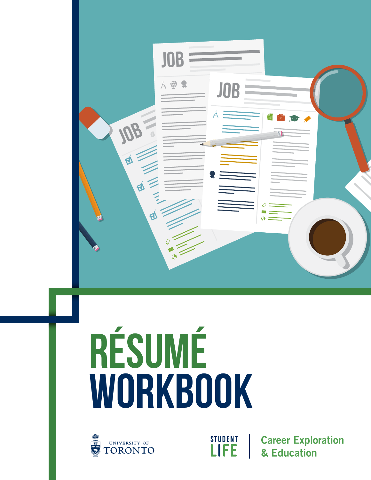

# **RÉSUMÉ WORKBOOK**





**Career Exploration** & Education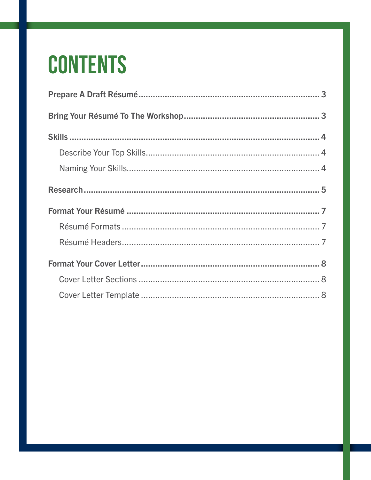## **CONTENTS**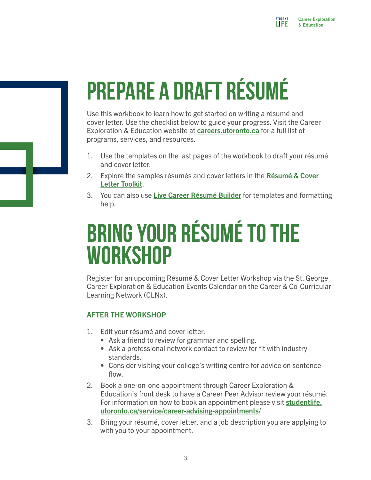# <span id="page-2-0"></span>**PREPARE A DRAFT RÉSUMÉ**

Use this workbook to learn how to get started on writing a résumé and cover letter. Use the checklist below to guide your progress. Visit the Career Exploration & Education website at [careers.utoronto.ca](http://www.careers.utoronto.ca/) for a full list of programs, services, and resources.

- 1. Use the templates on the last pages of the workbook to draft your résumé and cover letter.
- 2. [Explore the samples résumés and cover letters in the](http://studentlife.utoronto.ca/task/create-your-resume-and-or-cover-letter) Résumé & Cover Letter Toolkit.
- 3. You can also use [Live Career Résumé Builder](http://livecareer.com/resume/builder) for templates and formatting help.

### <span id="page-2-1"></span>**BRING YOUR RÉSUMÉ TO THE WORKSHOP**

Register for an upcoming Résumé & Cover Letter Workshop via the St. George Career Exploration & Education Events Calendar on the Career & Co-Curricular Learning Network (CLNx).

#### AFTER THE WORKSHOP

- 1. Edit your résumé and cover letter.
	- Ask a friend to review for grammar and spelling.
	- Ask a professional network contact to review for fit with industry standards.
	- Consider visiting your college's writing centre for advice on sentence flow.
- 2. Book a one-on-one appointment through Career Exploration & Education's front desk to have a Career Peer Advisor review your résumé. [For information on how to book an appointment please visit](https://studentlife.utoronto.ca/service/career-advising-appointments/) studentlife. utoronto.ca/service/career-advising-appointments/
- 3. Bring your résumé, cover letter, and a job description you are applying to with you to your appointment.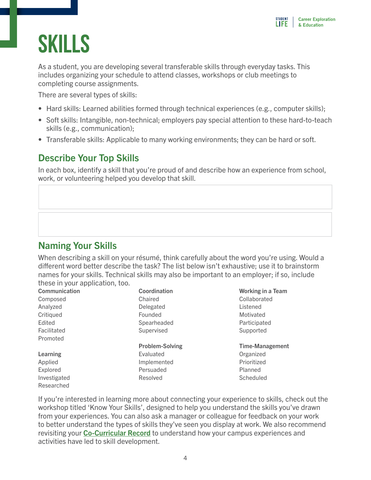### <span id="page-3-0"></span>**SKILLS**

As a student, you are developing several transferable skills through everyday tasks. This includes organizing your schedule to attend classes, workshops or club meetings to completing course assignments.

There are several types of skills:

- Hard skills: Learned abilities formed through technical experiences (e.g., computer skills);
- Soft skills: Intangible, non-technical; employers pay special attention to these hard-to-teach skills (e.g., communication);
- Transferable skills: Applicable to many working environments; they can be hard or soft.

### <span id="page-3-1"></span>Describe Your Top Skills

In each box, identify a skill that you're proud of and describe how an experience from school, work, or volunteering helped you develop that skill.

### <span id="page-3-2"></span>Naming Your Skills

When describing a skill on your résumé, think carefully about the word you're using. Would a different word better describe the task? The list below isn't exhaustive; use it to brainstorm names for your skills. Technical skills may also be important to an employer; if so, include these in your application, too.

| Communication | Coordination           | <b>Working in a Team</b> |
|---------------|------------------------|--------------------------|
| Composed      | Chaired                | Collaborated             |
| Analyzed      | Delegated              | Listened                 |
| Critiqued     | Founded                | Motivated                |
| Edited        | Spearheaded            | Participated             |
| Facilitated   | Supervised             | Supported                |
| Promoted      |                        |                          |
|               | <b>Problem-Solving</b> | <b>Time-Management</b>   |
| Learning      | Evaluated              | Organized                |
| Applied       | Implemented            | Prioritized              |
| Explored      | Persuaded              | Planned                  |
| Investigated  | <b>Resolved</b>        | Scheduled                |
| Researched    |                        |                          |

If you're interested in learning more about connecting your experience to skills, check out the workshop titled 'Know Your Skills', designed to help you understand the skills you've drawn from your experiences. You can also ask a manager or colleague for feedback on your work to better understand the types of skills they've seen you display at work. We also recommend revisiting your **[Co-Curricular Record](https://studentlife.utoronto.ca/service/co-curricular-record/)** to understand how your campus experiences and activities have led to skill development.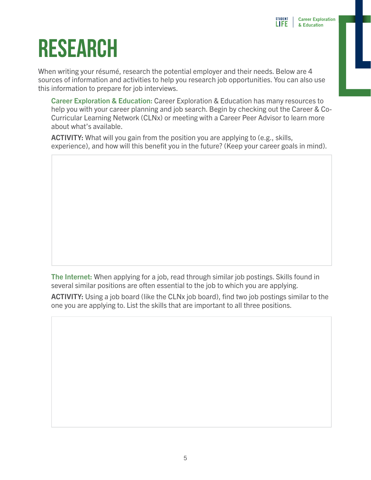## <span id="page-4-0"></span>**RESEARCH**

When writing your résumé, research the potential employer and their needs. Below are 4 sources of information and activities to help you research job opportunities. You can also use this information to prepare for job interviews.

Career Exploration & Education: Career Exploration & Education has many resources to help you with your career planning and job search. Begin by checking out the Career & Co-Curricular Learning Network (CLNx) or meeting with a Career Peer Advisor to learn more about what's available.

ACTIVITY: What will you gain from the position you are applying to (e.g., skills, experience), and how will this benefit you in the future? (Keep your career goals in mind).

The Internet: When applying for a job, read through similar job postings. Skills found in several similar positions are often essential to the job to which you are applying.

ACTIVITY: Using a job board (like the CLNx job board), find two job postings similar to the one you are applying to. List the skills that are important to all three positions.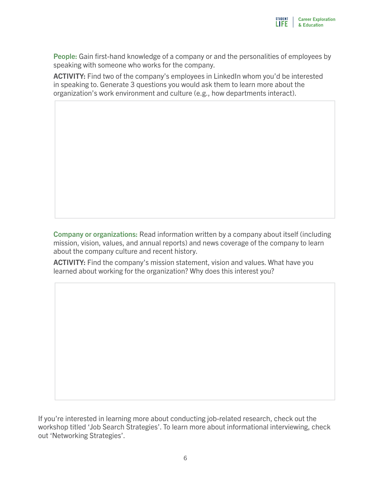People: Gain first-hand knowledge of a company or and the personalities of employees by speaking with someone who works for the company.

ACTIVITY: Find two of the company's employees in LinkedIn whom you'd be interested in speaking to. Generate 3 questions you would ask them to learn more about the organization's work environment and culture (e.g., how departments interact).

Company or organizations: Read information written by a company about itself (including mission, vision, values, and annual reports) and news coverage of the company to learn about the company culture and recent history.

ACTIVITY: Find the company's mission statement, vision and values. What have you learned about working for the organization? Why does this interest you?

If you're interested in learning more about conducting job-related research, check out the workshop titled 'Job Search Strategies'. To learn more about informational interviewing, check out 'Networking Strategies'.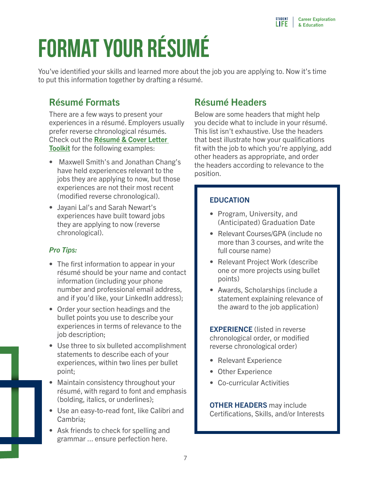# <span id="page-6-0"></span>**FORMAT YOUR RÉSUMÉ**

You've identified your skills and learned more about the job you are applying to. Now it's time to put this information together by drafting a résumé.

### <span id="page-6-1"></span>Résumé Formats

There are a few ways to present your experiences in a résumé. Employers usually prefer reverse chronological résumés. Check out the Résumé & Cover Letter Toolkit [for the following examples:](https://studentlife.utoronto.ca/task/create-your-resume-and-or-cover-letter/) 

- Maxwell Smith's and Jonathan Chang's have held experiences relevant to the jobs they are applying to now, but those experiences are not their most recent (modified reverse chronological).
- Jayani Lal's and Sarah Newart's experiences have built toward jobs they are applying to now (reverse chronological).

#### *Pro Tips:*

- The first information to appear in your résumé should be your name and contact information (including your phone number and professional email address, and if you'd like, your LinkedIn address);
- Order your section headings and the bullet points you use to describe your experiences in terms of relevance to the job description;
- Use three to six bulleted accomplishment statements to describe each of your experiences, within two lines per bullet point;
- Maintain consistency throughout your résumé, with regard to font and emphasis (bolding, italics, or underlines);
- Use an easy-to-read font, like Calibri and Cambria;
- Ask friends to check for spelling and grammar ... ensure perfection here.

### <span id="page-6-2"></span>Résumé Headers

Below are some headers that might help you decide what to include in your résumé. This list isn't exhaustive. Use the headers that best illustrate how your qualifications fit with the job to which you're applying, add other headers as appropriate, and order the headers according to relevance to the position.

#### **EDUCATION**

- Program, University, and (Anticipated) Graduation Date
- Relevant Courses/GPA (include no more than 3 courses, and write the full course name)
- Relevant Project Work (describe one or more projects using bullet points)
- Awards, Scholarships (include a statement explaining relevance of the award to the job application)

**EXPERIENCE** (listed in reverse) chronological order, or modified reverse chronological order)

- Relevant Experience
- Other Experience
- Co-curricular Activities

**OTHER HEADERS** may include Certifications, Skills, and/or Interests